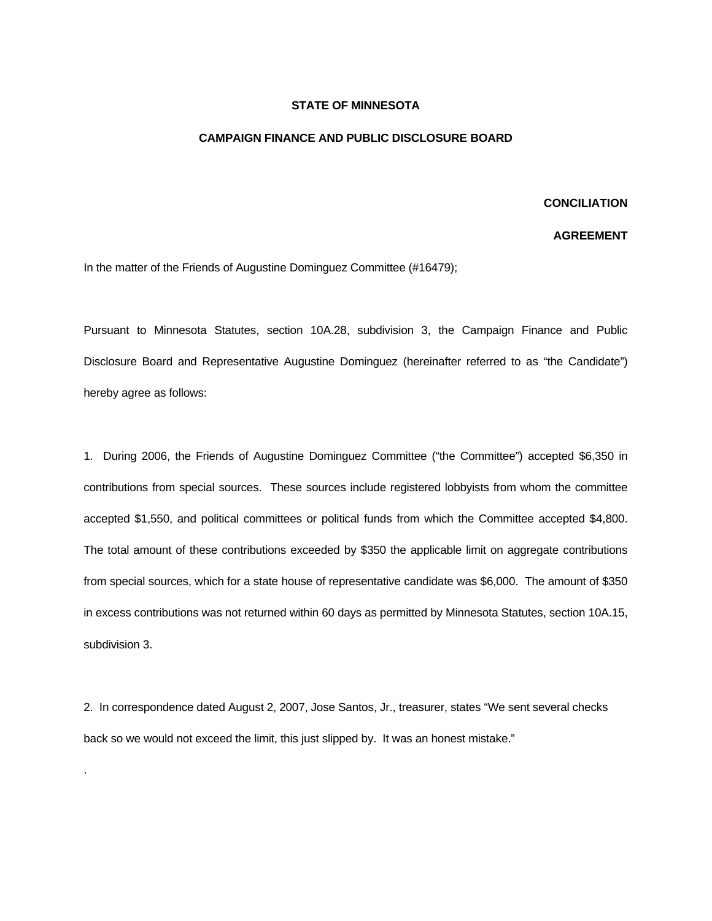## **STATE OF MINNESOTA**

## **CAMPAIGN FINANCE AND PUBLIC DISCLOSURE BOARD**

## **CONCILIATION**

## **AGREEMENT**

In the matter of the Friends of Augustine Dominguez Committee (#16479);

Pursuant to Minnesota Statutes, section 10A.28, subdivision 3, the Campaign Finance and Public Disclosure Board and Representative Augustine Dominguez (hereinafter referred to as "the Candidate") hereby agree as follows:

1. During 2006, the Friends of Augustine Dominguez Committee ("the Committee") accepted \$6,350 in contributions from special sources. These sources include registered lobbyists from whom the committee accepted \$1,550, and political committees or political funds from which the Committee accepted \$4,800. The total amount of these contributions exceeded by \$350 the applicable limit on aggregate contributions from special sources, which for a state house of representative candidate was \$6,000. The amount of \$350 in excess contributions was not returned within 60 days as permitted by Minnesota Statutes, section 10A.15, subdivision 3.

2. In correspondence dated August 2, 2007, Jose Santos, Jr., treasurer, states "We sent several checks back so we would not exceed the limit, this just slipped by. It was an honest mistake."

.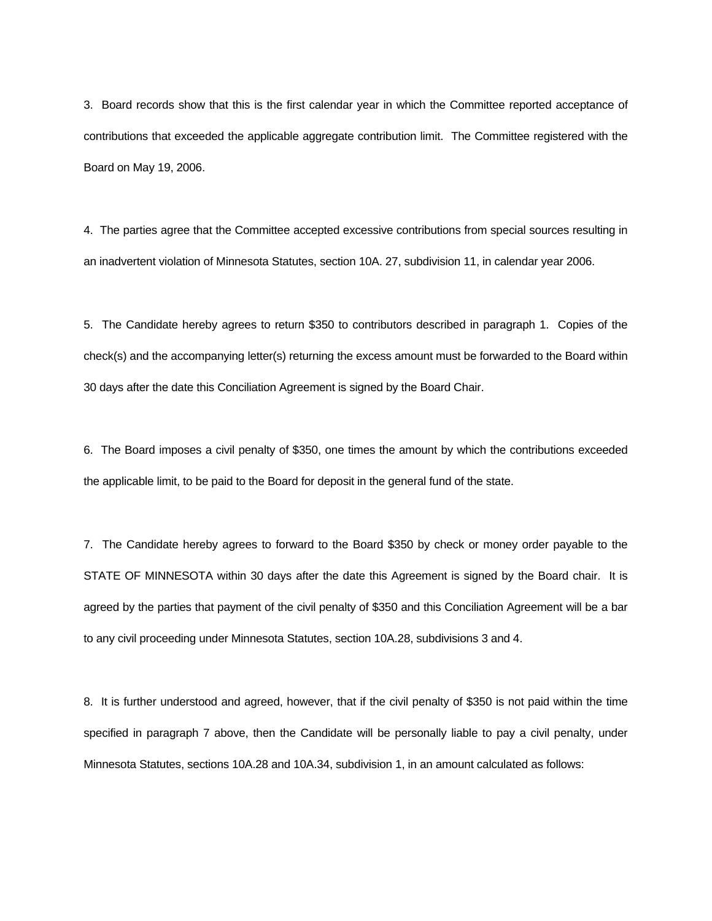3. Board records show that this is the first calendar year in which the Committee reported acceptance of contributions that exceeded the applicable aggregate contribution limit. The Committee registered with the Board on May 19, 2006.

4. The parties agree that the Committee accepted excessive contributions from special sources resulting in an inadvertent violation of Minnesota Statutes, section 10A. 27, subdivision 11, in calendar year 2006.

5. The Candidate hereby agrees to return \$350 to contributors described in paragraph 1. Copies of the check(s) and the accompanying letter(s) returning the excess amount must be forwarded to the Board within 30 days after the date this Conciliation Agreement is signed by the Board Chair.

6. The Board imposes a civil penalty of \$350, one times the amount by which the contributions exceeded the applicable limit, to be paid to the Board for deposit in the general fund of the state.

7. The Candidate hereby agrees to forward to the Board \$350 by check or money order payable to the STATE OF MINNESOTA within 30 days after the date this Agreement is signed by the Board chair. It is agreed by the parties that payment of the civil penalty of \$350 and this Conciliation Agreement will be a bar to any civil proceeding under Minnesota Statutes, section 10A.28, subdivisions 3 and 4.

8. It is further understood and agreed, however, that if the civil penalty of \$350 is not paid within the time specified in paragraph 7 above, then the Candidate will be personally liable to pay a civil penalty, under Minnesota Statutes, sections 10A.28 and 10A.34, subdivision 1, in an amount calculated as follows: